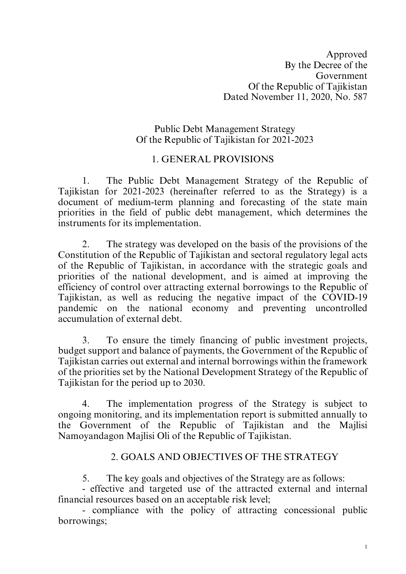### Public Debt Management Strategy Of the Republic of Tajikistan for 2021-2023

## 1. GENERAL PROVISIONS

1. The Public Debt Management Strategy of the Republic of Tajikistan for 2021-2023 (hereinafter referred to as the Strategy) is a document of medium-term planning and forecasting of the state main priorities in the field of public debt management, which determines the instruments for its implementation.

2. The strategy was developed on the basis of the provisions of the Constitution of the Republic of Tajikistan and sectoral regulatory legal acts of the Republic of Tajikistan, in accordance with the strategic goals and priorities of the national development, and is aimed at improving the efficiency of control over attracting external borrowings to the Republic of Tajikistan, as well as reducing the negative impact of the COVID-19 pandemic on the national economy and preventing uncontrolled accumulation of external debt.

3. To ensure the timely financing of public investment projects, budget support and balance of payments, the Government of the Republic of Tajikistan carries out external and internal borrowings within the framework of the priorities set by the National Development Strategy of the Republic of Tajikistan for the period up to 2030.

4. The implementation progress of the Strategy is subject to ongoing monitoring, and its implementation report is submitted annually to the Government of the Republic of Tajikistan and the Majlisi Namoyandagon Majlisi Oli of the Republic of Tajikistan.

#### 2. GOALS AND OBJECTIVES OF THE STRATEGY

5. The key goals and objectives of the Strategy are as follows:

- effective and targeted use of the attracted external and internal financial resources based on an acceptable risk level;

- compliance with the policy of attracting concessional public borrowings;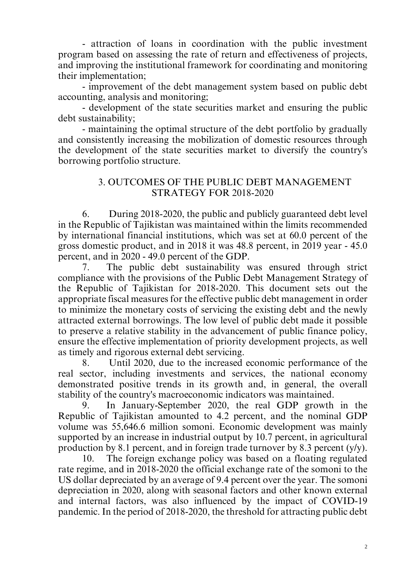- attraction of loans in coordination with the public investment program based on assessing the rate of return and effectiveness of projects, and improving the institutional framework for coordinating and monitoring their implementation;

- improvement of the debt management system based on public debt accounting, analysis and monitoring;

- development of the state securities market and ensuring the public debt sustainability;

- maintaining the optimal structure of the debt portfolio by gradually and consistently increasing the mobilization of domestic resources through the development of the state securities market to diversify the country's borrowing portfolio structure.

### 3. OUTCOMES OF THE PUBLIC DEBT MANAGEMENT STRATEGY FOR 2018-2020

6. During 2018-2020, the public and publicly guaranteed debt level in the Republic of Tajikistan was maintained within the limits recommended by international financial institutions, which was set at 60.0 percent of the gross domestic product, and in 2018 it was 48.8 percent, in 2019 year - 45.0 percent, and in 2020 - 49.0 percent of the GDP.

7. The public debt sustainability was ensured through strict compliance with the provisions of the Public Debt Management Strategy of the Republic of Tajikistan for 2018-2020. This document sets out the appropriate fiscal measures for the effective public debt management in order to minimize the monetary costs of servicing the existing debt and the newly attracted external borrowings. The low level of public debt made it possible to preserve a relative stability in the advancement of public finance policy, ensure the effective implementation of priority development projects, as well as timely and rigorous external debt servicing.

8. Until 2020, due to the increased economic performance of the real sector, including investments and services, the national economy demonstrated positive trends in its growth and, in general, the overall stability of the country's macroeconomic indicators was maintained.

9. In January-September 2020, the real GDP growth in the Republic of Tajikistan amounted to 4.2 percent, and the nominal GDP volume was 55,646.6 million somoni. Economic development was mainly supported by an increase in industrial output by 10.7 percent, in agricultural production by 8.1 percent, and in foreign trade turnover by 8.3 percent (y/y).

10. The foreign exchange policy was based on a floating regulated rate regime, and in 2018-2020 the official exchange rate of the somoni to the US dollar depreciated by an average of 9.4 percent over the year. The somoni depreciation in 2020, along with seasonal factors and other known external and internal factors, was also influenced by the impact of COVID-19 pandemic. In the period of 2018-2020, the threshold for attracting public debt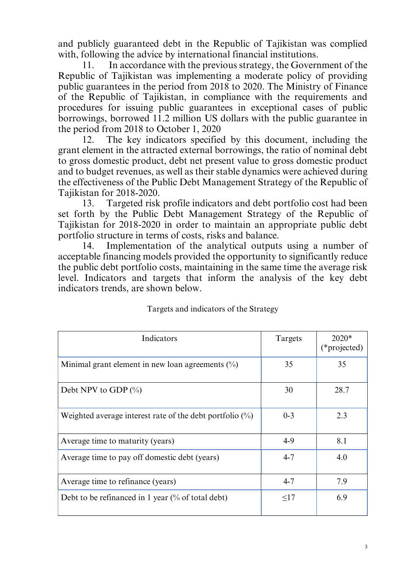and publicly guaranteed debt in the Republic of Tajikistan was complied with, following the advice by international financial institutions.

11. In accordance with the previous strategy, the Government of the Republic of Tajikistan was implementing a moderate policy of providing public guarantees in the period from 2018 to 2020. The Ministry of Finance of the Republic of Tajikistan, in compliance with the requirements and procedures for issuing public guarantees in exceptional cases of public borrowings, borrowed 11.2 million US dollars with the public guarantee in the period from 2018 to October 1, 2020

12. The key indicators specified by this document, including the grant element in the attracted external borrowings, the ratio of nominal debt to gross domestic product, debt net present value to gross domestic product and to budget revenues, as well as their stable dynamics were achieved during the effectiveness of the Public Debt Management Strategy of the Republic of Tajikistan for 2018-2020.

13. Targeted risk profile indicators and debt portfolio cost had been set forth by the Public Debt Management Strategy of the Republic of Tajikistan for 2018-2020 in order to maintain an appropriate public debt portfolio structure in terms of costs, risks and balance.

14. Implementation of the analytical outputs using a number of acceptable financing models provided the opportunity to significantly reduce the public debt portfolio costs, maintaining in the same time the average risk level. Indicators and targets that inform the analysis of the key debt indicators trends, are shown below.

| Indicators                                                   | Targets  | $2020*$<br>(*projected) |
|--------------------------------------------------------------|----------|-------------------------|
| Minimal grant element in new loan agreements $(\%)$          | 35       | 35                      |
| Debt NPV to GDP $(\%$                                        | 30       | 28.7                    |
| Weighted average interest rate of the debt portfolio $(\%)$  | $0 - 3$  | 2.3                     |
| Average time to maturity (years)                             | $4-9$    | 8.1                     |
| Average time to pay off domestic debt (years)                | $4 - 7$  | 4.0                     |
| Average time to refinance (years)                            | $4 - 7$  | 7.9                     |
| Debt to be refinanced in 1 year $\frac{0}{0}$ of total debt) | $\leq17$ | 6.9                     |

#### Targets and indicators of the Strategy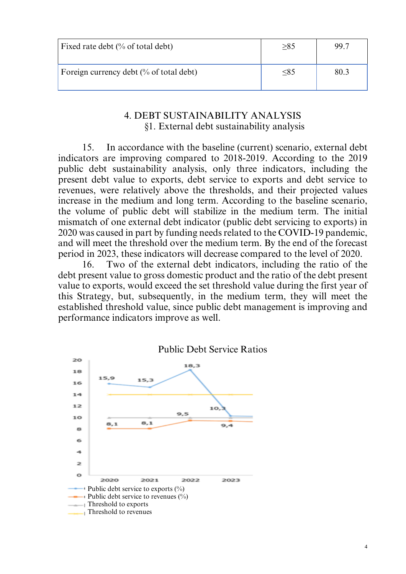| Fixed rate debt $\frac{0}{6}$ of total debt) | $\geq\!\!85$ | 99.7 |
|----------------------------------------------|--------------|------|
| Foreign currency debt (% of total debt)      | $\leq 85$    | 80.3 |

#### 4. DEBT SUSTAINABILITY ANALYSIS §1. External debt sustainability analysis

15. In accordance with the baseline (current) scenario, external debt indicators are improving compared to 2018-2019. According to the 2019 public debt sustainability analysis, only three indicators, including the present debt value to exports, debt service to exports and debt service to revenues, were relatively above the thresholds, and their projected values increase in the medium and long term. According to the baseline scenario, the volume of public debt will stabilize in the medium term. The initial mismatch of one external debt indicator (public debt servicing to exports) in 2020 was caused in part by funding needsrelated to the COVID-19 pandemic, and will meet the threshold over the medium term. By the end of the forecast period in 2023, these indicators will decrease compared to the level of 2020.

16. Two of the external debt indicators, including the ratio of the debt present value to gross domestic product and the ratio of the debt present value to exports, would exceed the set threshold value during the first year of this Strategy, but, subsequently, in the medium term, they will meet the established threshold value, since public debt management is improving and performance indicators improve as well.

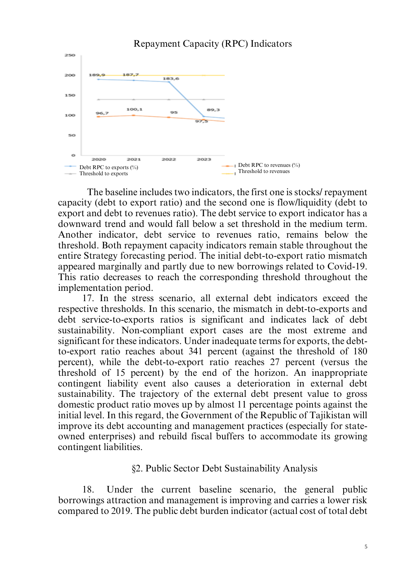

The baseline includes two indicators, the first one is stocks/ repayment capacity (debt to export ratio) and the second one is flow/liquidity (debt to export and debt to revenues ratio). The debt service to export indicator has a downward trend and would fall below a set threshold in the medium term. Another indicator, debt service to revenues ratio, remains below the threshold. Both repayment capacity indicators remain stable throughout the entire Strategy forecasting period. The initial debt-to-export ratio mismatch appeared marginally and partly due to new borrowings related to Covid-19. This ratio decreases to reach the corresponding threshold throughout the implementation period.

17. In the stress scenario, all external debt indicators exceed the respective thresholds. In this scenario, the mismatch in debt-to-exports and debt service-to-exports ratios is significant and indicates lack of debt sustainability. Non-compliant export cases are the most extreme and significant for these indicators. Under inadequate terms for exports, the debtto-export ratio reaches about 341 percent (against the threshold of 180 percent), while the debt-to-export ratio reaches 27 percent (versus the threshold of 15 percent) by the end of the horizon. An inappropriate contingent liability event also causes a deterioration in external debt sustainability. The trajectory of the external debt present value to gross domestic product ratio moves up by almost 11 percentage points against the initial level. In this regard, the Government of the Republic of Tajikistan will improve its debt accounting and management practices (especially for stateowned enterprises) and rebuild fiscal buffers to accommodate its growing contingent liabilities.

#### §2. Public Sector Debt Sustainability Analysis

18. Under the current baseline scenario, the general public borrowings attraction and management is improving and carries a lower risk compared to 2019. The public debt burden indicator (actual cost of total debt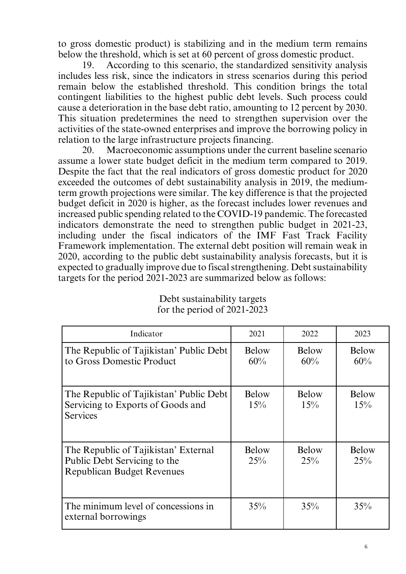to gross domestic product) is stabilizing and in the medium term remains below the threshold, which is set at 60 percent of gross domestic product.

19. According to this scenario, the standardized sensitivity analysis includes less risk, since the indicators in stress scenarios during this period remain below the established threshold. This condition brings the total contingent liabilities to the highest public debt levels. Such process could cause a deterioration in the base debt ratio, amounting to 12 percent by 2030. This situation predetermines the need to strengthen supervision over the activities of the state-owned enterprises and improve the borrowing policy in relation to the large infrastructure projects financing.

20. Macroeconomic assumptions under the current baseline scenario assume a lower state budget deficit in the medium term compared to 2019. Despite the fact that the real indicators of gross domestic product for 2020 exceeded the outcomes of debt sustainability analysis in 2019, the mediumterm growth projections were similar. The key difference is that the projected budget deficit in 2020 is higher, as the forecast includes lower revenues and increased public spending related to the COVID-19 pandemic. The forecasted indicators demonstrate the need to strengthen public budget in 2021-23, including under the fiscal indicators of the IMF Fast Track Facility Framework implementation. The external debt position will remain weak in 2020, according to the public debt sustainability analysis forecasts, but it is expected to gradually improve due to fiscal strengthening. Debt sustainability targets for the period 2021-2023 are summarized below as follows:

| Indicator                                                                                                 | 2021         | 2022                | 2023                |
|-----------------------------------------------------------------------------------------------------------|--------------|---------------------|---------------------|
| The Republic of Tajikistan' Public Debt<br>to Gross Domestic Product                                      | Below<br>60% | <b>Below</b><br>60% | <b>Below</b><br>60% |
| The Republic of Tajikistan' Public Debt<br>Servicing to Exports of Goods and<br><b>Services</b>           | Below<br>15% | <b>Below</b><br>15% | <b>Below</b><br>15% |
| The Republic of Tajikistan' External<br>Public Debt Servicing to the<br><b>Republican Budget Revenues</b> | Below<br>25% | Below<br>25%        | <b>Below</b><br>25% |
| The minimum level of concessions in<br>external borrowings                                                | 35%          | 35%                 | 35%                 |

Debt sustainability targets for the period of 2021-2023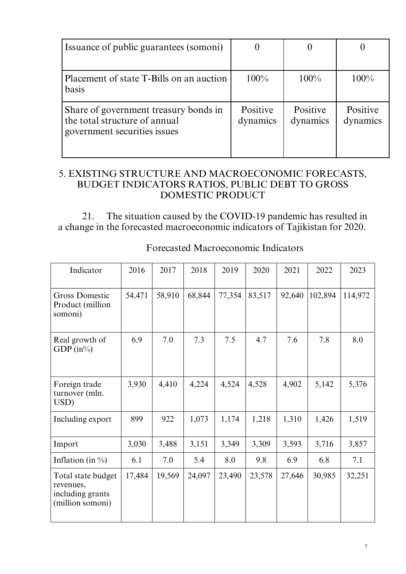| Issuance of public guarantees (somoni)                                                                 |                      |                      |                      |
|--------------------------------------------------------------------------------------------------------|----------------------|----------------------|----------------------|
|                                                                                                        |                      |                      |                      |
| Placement of state T-Bills on an auction<br>basis                                                      | $100\%$              | $100\%$              | $100\%$              |
| Share of government treasury bonds in<br>the total structure of annual<br>government securities issues | Positive<br>dynamics | Positive<br>dynamics | Positive<br>dynamics |

## 5. EXISTING STRUCTURE AND MACROECONOMIC FORECASTS, BUDGET INDICATORS RATIOS, PUBLIC DEBT TO GROSS DOMESTIC PRODUCT

21. The situation caused by the COVID-19 pandemic has resulted in a change in the forecasted macroeconomic indicators of Tajikistan for 2020.

| Indicator                                                               | 2016   | 2017   | 2018   | 2019   | 2020   | 2021   | 2022    | 2023    |
|-------------------------------------------------------------------------|--------|--------|--------|--------|--------|--------|---------|---------|
| <b>Gross Domestic</b><br>Product (million<br>somoni)                    | 54,471 | 58,910 | 68,844 | 77,354 | 83,517 | 92,640 | 102,894 | 114,972 |
| Real growth of<br>GDP $(in\%)$                                          | 6.9    | 7.0    | 7.3    | 7.5    | 4.7    | 7.6    | 7.8     | 8.0     |
| Foreign trade<br>turnover (mln.<br>USD)                                 | 3,930  | 4,410  | 4,224  | 4,524  | 4,528  | 4,902  | 5,142   | 5,376   |
| Including export                                                        | 899    | 922    | 1,073  | 1,174  | 1,218  | 1,310  | 1,426   | 1,519   |
| Import                                                                  | 3,030  | 3,488  | 3,151  | 3,349  | 3,309  | 3,593  | 3,716   | 3,857   |
| Inflation (in $\%$ )                                                    | 6.1    | 7.0    | 5.4    | 8.0    | 9.8    | 6.9    | 6.8     | 7.1     |
| Total state budget<br>revenues,<br>including grants<br>(million somoni) | 17,484 | 19,569 | 24,097 | 23,490 | 23,578 | 27,646 | 30,985  | 32,251  |

Forecasted Macroeconomic Indicators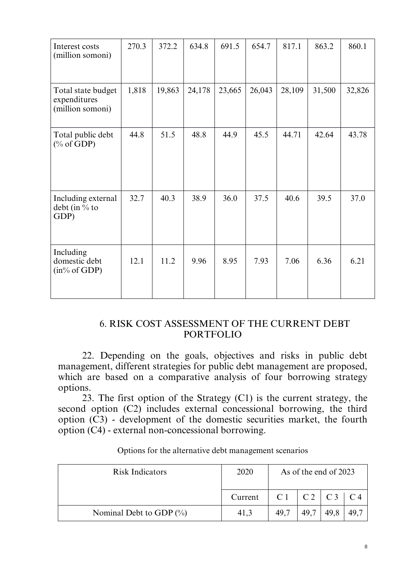| Interest costs<br>(million somoni)                     | 270.3 | 372.2  | 634.8  | 691.5  | 654.7  | 817.1  | 863.2  | 860.1  |
|--------------------------------------------------------|-------|--------|--------|--------|--------|--------|--------|--------|
| Total state budget<br>expenditures<br>(million somoni) | 1,818 | 19,863 | 24,178 | 23,665 | 26,043 | 28,109 | 31,500 | 32,826 |
| Total public debt<br>$(\% \text{ of GDP})$             | 44.8  | 51.5   | 48.8   | 44.9   | 45.5   | 44.71  | 42.64  | 43.78  |
| Including external<br>debt (in % to<br>GDP)            | 32.7  | 40.3   | 38.9   | 36.0   | 37.5   | 40.6   | 39.5   | 37.0   |
| Including<br>domestic debt<br>$(in\% of GDP)$          | 12.1  | 11.2   | 9.96   | 8.95   | 7.93   | 7.06   | 6.36   | 6.21   |

#### 6. RISK COST ASSESSMENT OF THE CURRENT DEBT PORTFOLIO

22. Depending on the goals, objectives and risks in public debt management, different strategies for public debt management are proposed, which are based on a comparative analysis of four borrowing strategy options.

23. The first option of the Strategy (C1) is the current strategy, the second option (C2) includes external concessional borrowing, the third option  $(C3)$  - development of the domestic securities market, the fourth option (C4) - external non-concessional borrowing.

| <b>Risk Indicators</b>     | 2020    | As of the end of 2023 |                |      |                |
|----------------------------|---------|-----------------------|----------------|------|----------------|
|                            | Current |                       | $C1$ $C2$ $C3$ |      | C <sub>4</sub> |
| Nominal Debt to GDP $(\%)$ | 41,3    | 49,7                  | 49,7           | 49.8 | 49.7           |

Options for the alternative debt management scenarios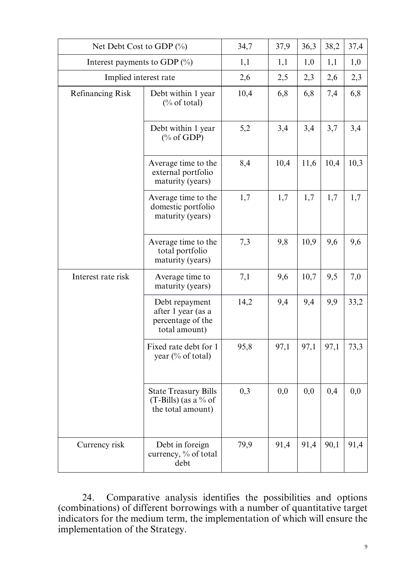| Net Debt Cost to GDP $(\%)$ | 34,7                                                                       | 37,9 | 36,3 | 38,2 | 37,4 |      |
|-----------------------------|----------------------------------------------------------------------------|------|------|------|------|------|
|                             | Interest payments to GDP $(\%)$                                            |      |      | 1,0  | 1,1  | 1,0  |
|                             | Implied interest rate                                                      |      |      | 2,3  | 2,6  | 2,3  |
| <b>Refinancing Risk</b>     | Debt within 1 year<br>$\frac{0}{6}$ of total)                              | 10,4 | 6,8  | 6,8  | 7,4  | 6,8  |
|                             | Debt within 1 year<br>$(\% \text{ of GDP})$                                | 5,2  | 3,4  | 3,4  | 3,7  | 3,4  |
|                             | Average time to the<br>external portfolio<br>maturity (years)              | 8,4  | 10,4 | 11,6 | 10,4 | 10,3 |
|                             | Average time to the<br>domestic portfolio<br>maturity (years)              | 1,7  | 1,7  | 1,7  | 1,7  | 1,7  |
|                             | Average time to the<br>total portfolio<br>maturity (years)                 | 7,3  | 9,8  | 10,9 | 9,6  | 9,6  |
| Interest rate risk          | Average time to<br>maturity (years)                                        | 7,1  | 9,6  | 10,7 | 9,5  | 7,0  |
|                             | Debt repayment<br>after 1 year (as a<br>percentage of the<br>total amount) | 14,2 | 9,4  | 9,4  | 9,9  | 33,2 |
|                             | Fixed rate debt for 1<br>year $(\%$ of total)                              | 95,8 | 97,1 | 97,1 | 97,1 | 73,3 |
|                             | <b>State Treasury Bills</b><br>$(T-Bills)$ (as a % of<br>the total amount) | 0,3  | 0,0  | 0,0  | 0,4  | 0,0  |
| Currency risk               | Debt in foreign<br>currency, % of total<br>debt                            | 79,9 | 91,4 | 91,4 | 90,1 | 91,4 |

24. Comparative analysis identifies the possibilities and options (combinations) of different borrowings with a number of quantitative target indicators for the medium term, the implementation of which will ensure the implementation of the Strategy.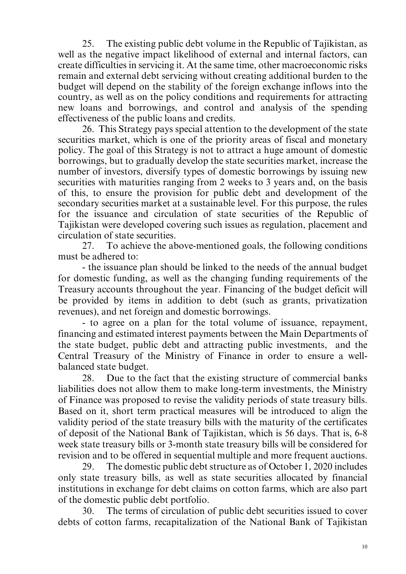25. The existing public debt volume in the Republic of Tajikistan, as well as the negative impact likelihood of external and internal factors, can create difficulties in servicing it. At the same time, other macroeconomic risks remain and external debt servicing without creating additional burden to the budget will depend on the stability of the foreign exchange inflows into the country, as well as on the policy conditions and requirements for attracting new loans and borrowings, and control and analysis of the spending effectiveness of the public loans and credits.

26. This Strategy pays special attention to the development of the state securities market, which is one of the priority areas of fiscal and monetary policy. The goal of this Strategy is not to attract a huge amount of domestic borrowings, but to gradually develop the state securities market, increase the number of investors, diversify types of domestic borrowings by issuing new securities with maturities ranging from 2 weeks to 3 years and, on the basis of this, to ensure the provision for public debt and development of the secondary securities market at a sustainable level. For this purpose, the rules for the issuance and circulation of state securities of the Republic of Tajikistan were developed covering such issues as regulation, placement and circulation of state securities.

27. To achieve the above-mentioned goals, the following conditions must be adhered to:

- the issuance plan should be linked to the needs of the annual budget for domestic funding, as well as the changing funding requirements of the Treasury accounts throughout the year. Financing of the budget deficit will be provided by items in addition to debt (such as grants, privatization revenues), and net foreign and domestic borrowings.

- to agree on a plan for the total volume of issuance, repayment, financing and estimated interest payments between the Main Departments of the state budget, public debt and attracting public investments, and the Central Treasury of the Ministry of Finance in order to ensure a wellbalanced state budget.

28. Due to the fact that the existing structure of commercial banks liabilities does not allow them to make long-term investments, the Ministry of Finance was proposed to revise the validity periods of state treasury bills. Based on it, short term practical measures will be introduced to align the validity period of the state treasury bills with the maturity of the certificates of deposit of the National Bank of Tajikistan, which is 56 days. That is, 6-8 week state treasury bills or 3-month state treasury bills will be considered for revision and to be offered in sequential multiple and more frequent auctions.

29. The domestic public debt structure as of October 1, 2020 includes only state treasury bills, as well as state securities allocated by financial institutions in exchange for debt claims on cotton farms, which are also part of the domestic public debt portfolio.

30. The terms of circulation of public debt securities issued to cover debts of cotton farms, recapitalization of the National Bank of Tajikistan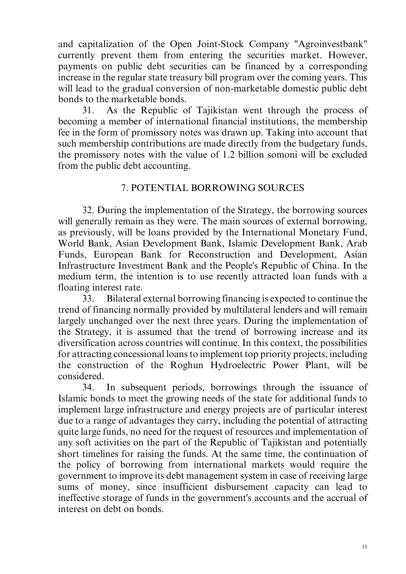and capitalization of the Open Joint-Stock Company "Agroinvestbank" currently prevent them from entering the securities market. However, payments on public debt securities can be financed by a corresponding increase in the regular state treasury bill program over the coming years. This will lead to the gradual conversion of non-marketable domestic public debt bonds to the marketable bonds.

31. As the Republic of Tajikistan went through the process of becoming a member of international financial institutions, the membership fee in the form of promissory notes was drawn up. Taking into account that such membership contributions are made directly from the budgetary funds, the promissory notes with the value of 1.2 billion somoni will be excluded from the public debt accounting.

# 7. POTENTIAL BORROWING SOURCES

32. During the implementation of the Strategy, the borrowing sources will generally remain as they were. The main sources of external borrowing, as previously, will be loans provided by the International Monetary Fund, World Bank, Asian Development Bank, Islamic Development Bank, Arab Funds, European Bank for Reconstruction and Development, Asian Infrastructure Investment Bank and the People's Republic of China. In the medium term, the intention is to use recently attracted loan funds with a floating interest rate.

33. Bilateral external borrowing financing is expected to continue the trend of financing normally provided by multilateral lenders and will remain largely unchanged over the next three years. During the implementation of the Strategy, it is assumed that the trend of borrowing increase and its diversification across countries will continue. In this context, the possibilities for attracting concessional loansto implement top priority projects, including the construction of the Roghun Hydroelectric Power Plant, will be considered.

34. In subsequent periods, borrowings through the issuance of Islamic bonds to meet the growing needs of the state for additional funds to implement large infrastructure and energy projects are of particular interest due to a range of advantages they carry, including the potential of attracting quite large funds, no need for the request of resources and implementation of any soft activities on the part of the Republic of Tajikistan and potentially short timelines for raising the funds. At the same time, the continuation of the policy of borrowing from international markets would require the government to improve its debt management system in case of receiving large sums of money, since insufficient disbursement capacity can lead to ineffective storage of funds in the government's accounts and the accrual of interest on debt on bonds.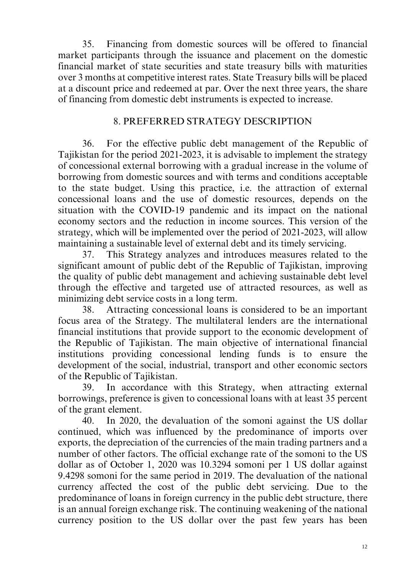35. Financing from domestic sources will be offered to financial market participants through the issuance and placement on the domestic financial market of state securities and state treasury bills with maturities over 3 months at competitive interest rates. State Treasury bills will be placed at a discount price and redeemed at par. Over the next three years, the share of financing from domestic debt instruments is expected to increase.

## 8. PREFERRED STRATEGY DESCRIPTION

36. For the effective public debt management of the Republic of Tajikistan for the period 2021-2023, it is advisable to implement the strategy of concessional external borrowing with a gradual increase in the volume of borrowing from domestic sources and with terms and conditions acceptable to the state budget. Using this practice, i.e. the attraction of external concessional loans and the use of domestic resources, depends on the situation with the COVID-19 pandemic and its impact on the national economy sectors and the reduction in income sources. This version of the strategy, which will be implemented over the period of 2021-2023, will allow maintaining a sustainable level of external debt and its timely servicing.

37. This Strategy analyzes and introduces measures related to the significant amount of public debt of the Republic of Tajikistan, improving the quality of public debt management and achieving sustainable debt level through the effective and targeted use of attracted resources, as well as minimizing debt service costs in a long term.

38. Attracting concessional loans is considered to be an important focus area of the Strategy. The multilateral lenders are the international financial institutions that provide support to the economic development of the Republic of Tajikistan. The main objective of international financial institutions providing concessional lending funds is to ensure the development of the social, industrial, transport and other economic sectors of the Republic of Tajikistan.

39. In accordance with this Strategy, when attracting external borrowings, preference is given to concessional loans with at least 35 percent of the grant element.

40. In 2020, the devaluation of the somoni against the US dollar continued, which was influenced by the predominance of imports over exports, the depreciation of the currencies of the main trading partners and a number of other factors. The official exchange rate of the somoni to the US dollar as of October 1, 2020 was 10.3294 somoni per 1 US dollar against 9.4298 somoni for the same period in 2019. The devaluation of the national currency affected the cost of the public debt servicing. Due to the predominance of loans in foreign currency in the public debt structure, there is an annual foreign exchange risk. The continuing weakening of the national currency position to the US dollar over the past few years has been